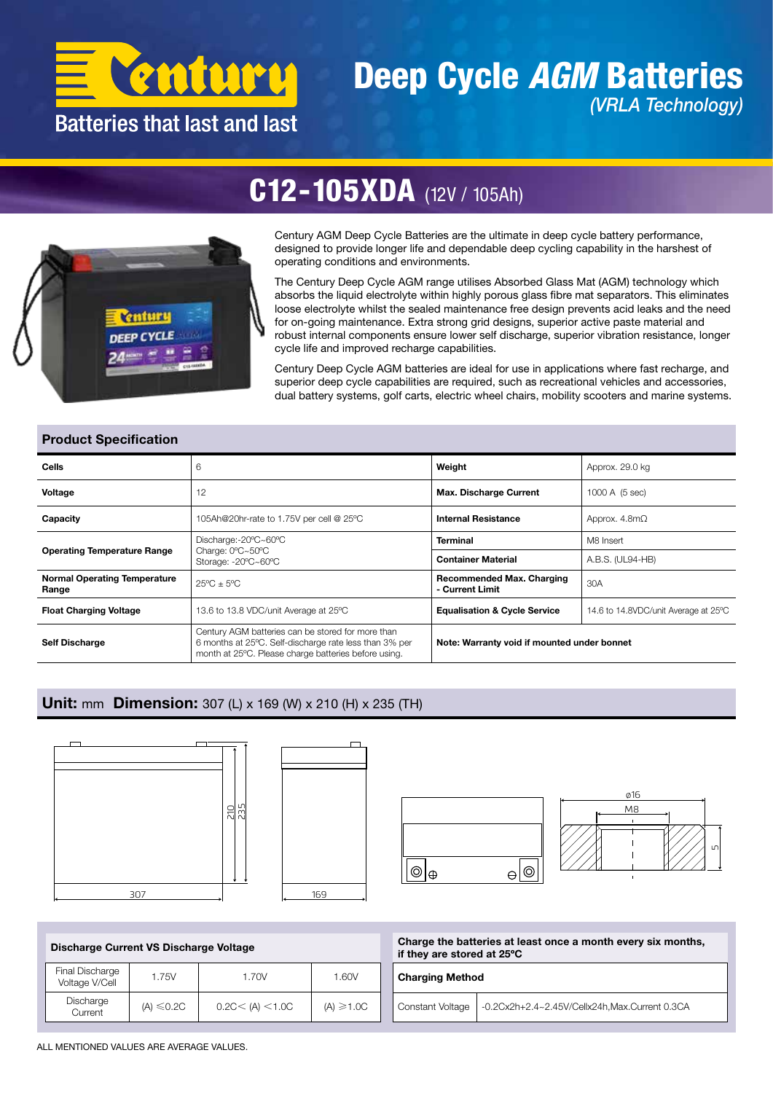

### Deep Cycle *AGM* Batteries *(VRLA Technology)*

## C12-105XDA (12V / 105Ah)



Century AGM Deep Cycle Batteries are the ultimate in deep cycle battery performance, designed to provide longer life and dependable deep cycling capability in the harshest of operating conditions and environments.

The Century Deep Cycle AGM range utilises Absorbed Glass Mat (AGM) technology which absorbs the liquid electrolyte within highly porous glass fibre mat separators. This eliminates loose electrolyte whilst the sealed maintenance free design prevents acid leaks and the need for on-going maintenance. Extra strong grid designs, superior active paste material and robust internal components ensure lower self discharge, superior vibration resistance, longer cycle life and improved recharge capabilities.

Century Deep Cycle AGM batteries are ideal for use in applications where fast recharge, and superior deep cycle capabilities are required, such as recreational vehicles and accessories, dual battery systems, golf carts, electric wheel chairs, mobility scooters and marine systems.

#### Product Specification

| Cells                                        | 6                                                                                                                                                                   | Weight                                                                                                                                          | Approx. 29.0 kg                      |  |  |  |
|----------------------------------------------|---------------------------------------------------------------------------------------------------------------------------------------------------------------------|-------------------------------------------------------------------------------------------------------------------------------------------------|--------------------------------------|--|--|--|
| Voltage                                      | 12                                                                                                                                                                  | <b>Max. Discharge Current</b><br>1000 A (5 sec)<br>Approx. $4.8m\Omega$                                                                         |                                      |  |  |  |
| Capacity                                     | 105Ah@20hr-rate to 1.75V per cell @ 25°C                                                                                                                            | <b>Internal Resistance</b><br><b>Terminal</b><br>M8 Insert<br><b>Container Material</b><br>A.B.S. (UL94-HB)<br><b>Recommended Max. Charging</b> |                                      |  |  |  |
|                                              | Discharge:-20°C~60°C                                                                                                                                                |                                                                                                                                                 |                                      |  |  |  |
| <b>Operating Temperature Range</b>           | Charge: 0°C~50°C<br>Storage: -20°C~60°C                                                                                                                             |                                                                                                                                                 |                                      |  |  |  |
| <b>Normal Operating Temperature</b><br>Range | $25^{\circ}$ C + $5^{\circ}$ C                                                                                                                                      | - Current Limit                                                                                                                                 | 30A                                  |  |  |  |
| <b>Float Charging Voltage</b>                | 13.6 to 13.8 VDC/unit Average at 25°C                                                                                                                               | <b>Equalisation &amp; Cycle Service</b>                                                                                                         | 14.6 to 14.8VDC/unit Average at 25°C |  |  |  |
| <b>Self Discharge</b>                        | Century AGM batteries can be stored for more than<br>6 months at 25°C. Self-discharge rate less than 3% per<br>month at 25°C. Please charge batteries before using. | Note: Warranty void if mounted under bonnet                                                                                                     |                                      |  |  |  |

#### Unit: mm Dimension: 307 (L) x 169 (W) x 210 (H) x 235 (TH)









Discharge Current VS Discharge Voltage

| Final Discharge<br>Voltage V/Cell | 1.75V           | 1.70V             | 1.60V          |  |  |
|-----------------------------------|-----------------|-------------------|----------------|--|--|
| Discharge<br>Current              | $(A) \leq 0.2C$ | 0.2C < (A) < 1.0C | $(A) \ge 1.0C$ |  |  |

| Charge the batteries at least once a month every six months, |
|--------------------------------------------------------------|
| if they are stored at 25°C                                   |

| <b>Charging Method</b> |                                               |  |  |  |  |  |
|------------------------|-----------------------------------------------|--|--|--|--|--|
| Constant Voltage       | -0.2Cx2h+2.4~2.45V/Cellx24h,Max.Current 0.3CA |  |  |  |  |  |

ALL MENTIONED VALUES ARE AVERAGE VALUES.